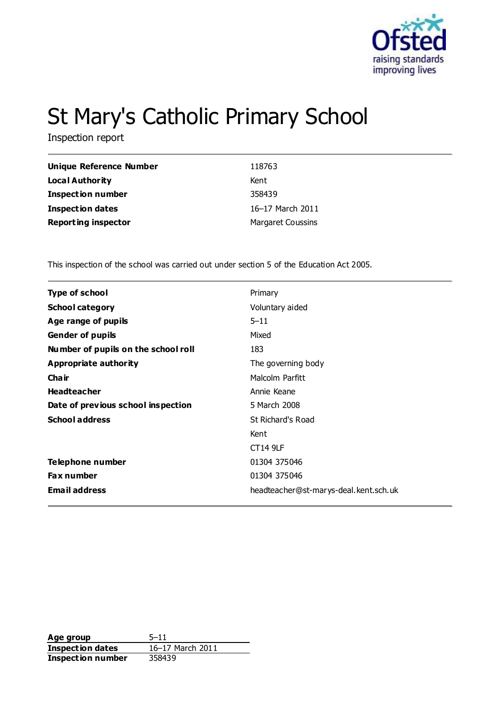

# St Mary's Catholic Primary School

Inspection report

| <b>Unique Reference Number</b> | 118763                   |
|--------------------------------|--------------------------|
| <b>Local Authority</b>         | Kent                     |
| <b>Inspection number</b>       | 358439                   |
| Inspection dates               | 16-17 March 2011         |
| <b>Reporting inspector</b>     | <b>Margaret Coussins</b> |

This inspection of the school was carried out under section 5 of the Education Act 2005.

| Primary                               |
|---------------------------------------|
| Voluntary aided                       |
| $5 - 11$                              |
| Mixed                                 |
| 183                                   |
| The governing body                    |
| Malcolm Parfitt                       |
| Annie Keane                           |
| 5 March 2008                          |
| St Richard's Road                     |
| Kent                                  |
| <b>CT14 9LF</b>                       |
| 01304 375046                          |
| 01304 375046                          |
| headteacher@st-marys-deal.kent.sch.uk |
|                                       |

**Age group** 5-11<br> **Inspection dates** 16-17 March 2011 **Inspection dates Inspection number** 358439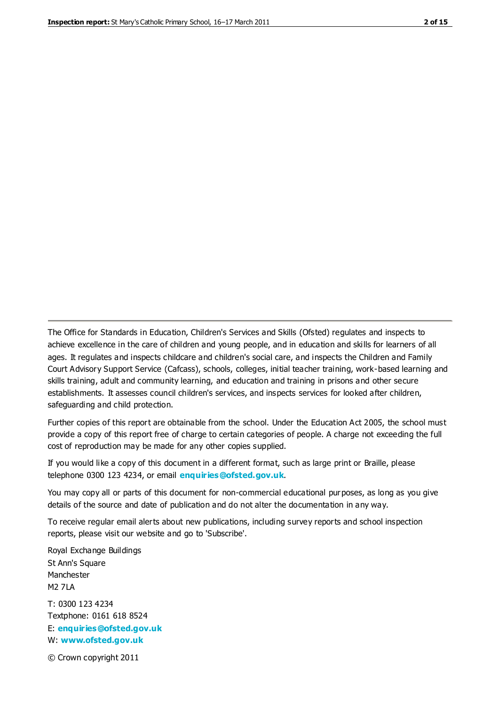The Office for Standards in Education, Children's Services and Skills (Ofsted) regulates and inspects to achieve excellence in the care of children and young people, and in education and skills for learners of all ages. It regulates and inspects childcare and children's social care, and inspects the Children and Family Court Advisory Support Service (Cafcass), schools, colleges, initial teacher training, work-based learning and skills training, adult and community learning, and education and training in prisons and other secure establishments. It assesses council children's services, and inspects services for looked after children, safeguarding and child protection.

Further copies of this report are obtainable from the school. Under the Education Act 2005, the school must provide a copy of this report free of charge to certain categories of people. A charge not exceeding the full cost of reproduction may be made for any other copies supplied.

If you would like a copy of this document in a different format, such as large print or Braille, please telephone 0300 123 4234, or email **[enquiries@ofsted.gov.uk](mailto:enquiries@ofsted.gov.uk)**.

You may copy all or parts of this document for non-commercial educational purposes, as long as you give details of the source and date of publication and do not alter the documentation in any way.

To receive regular email alerts about new publications, including survey reports and school inspection reports, please visit our website and go to 'Subscribe'.

Royal Exchange Buildings St Ann's Square Manchester M2 7LA T: 0300 123 4234 Textphone: 0161 618 8524 E: **[enquiries@ofsted.gov.uk](mailto:enquiries@ofsted.gov.uk)**

W: **[www.ofsted.gov.uk](http://www.ofsted.gov.uk/)**

© Crown copyright 2011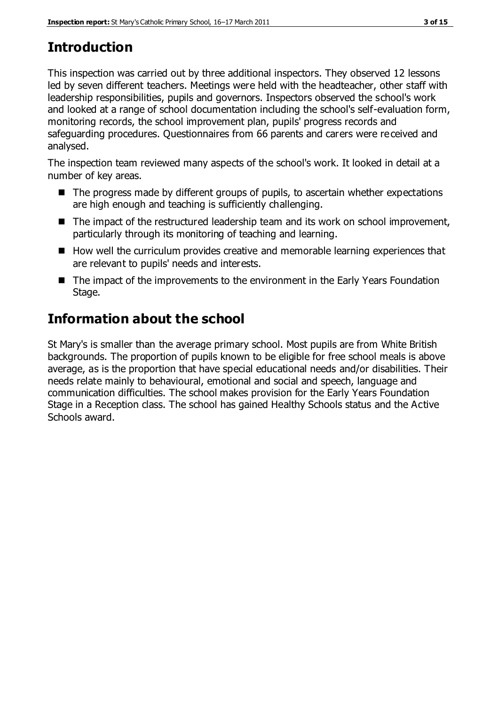# **Introduction**

This inspection was carried out by three additional inspectors. They observed 12 lessons led by seven different teachers. Meetings were held with the headteacher, other staff with leadership responsibilities, pupils and governors. Inspectors observed the school's work and looked at a range of school documentation including the school's self-evaluation form, monitoring records, the school improvement plan, pupils' progress records and safeguarding procedures. Questionnaires from 66 parents and carers were received and analysed.

The inspection team reviewed many aspects of the school's work. It looked in detail at a number of key areas.

- The progress made by different groups of pupils, to ascertain whether expectations are high enough and teaching is sufficiently challenging.
- $\blacksquare$  The impact of the restructured leadership team and its work on school improvement, particularly through its monitoring of teaching and learning.
- How well the curriculum provides creative and memorable learning experiences that are relevant to pupils' needs and interests.
- The impact of the improvements to the environment in the Early Years Foundation Stage.

# **Information about the school**

St Mary's is smaller than the average primary school. Most pupils are from White British backgrounds. The proportion of pupils known to be eligible for free school meals is above average, as is the proportion that have special educational needs and/or disabilities. Their needs relate mainly to behavioural, emotional and social and speech, language and communication difficulties. The school makes provision for the Early Years Foundation Stage in a Reception class. The school has gained Healthy Schools status and the Active Schools award.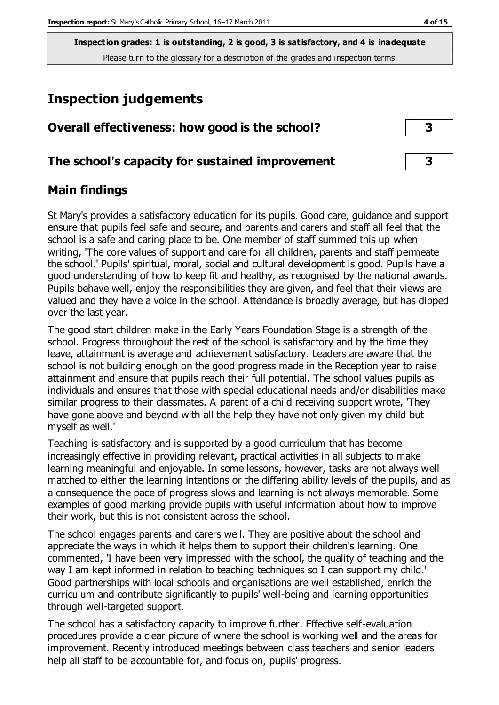**Inspection grades: 1 is outstanding, 2 is good, 3 is satisfactory, and 4 is inadequate** Please turn to the glossary for a description of the grades and inspection terms

# **Inspection judgements**

| Overall effectiveness: how good is the school?  |  |
|-------------------------------------------------|--|
| The school's capacity for sustained improvement |  |

# **Main findings**

St Mary's provides a satisfactory education for its pupils. Good care, guidance and support ensure that pupils feel safe and secure, and parents and carers and staff all feel that the school is a safe and caring place to be. One member of staff summed this up when writing, 'The core values of support and care for all children, parents and staff permeate the school.' Pupils' spiritual, moral, social and cultural development is good. Pupils have a good understanding of how to keep fit and healthy, as recognised by the national awards. Pupils behave well, enjoy the responsibilities they are given, and feel that their views are valued and they have a voice in the school. Attendance is broadly average, but has dipped over the last year.

The good start children make in the Early Years Foundation Stage is a strength of the school. Progress throughout the rest of the school is satisfactory and by the time they leave, attainment is average and achievement satisfactory. Leaders are aware that the school is not building enough on the good progress made in the Reception year to raise attainment and ensure that pupils reach their full potential. The school values pupils as individuals and ensures that those with special educational needs and/or disabilities make similar progress to their classmates. A parent of a child receiving support wrote, 'They have gone above and beyond with all the help they have not only given my child but myself as well.'

Teaching is satisfactory and is supported by a good curriculum that has become increasingly effective in providing relevant, practical activities in all subjects to make learning meaningful and enjoyable. In some lessons, however, tasks are not always well matched to either the learning intentions or the differing ability levels of the pupils, and as a consequence the pace of progress slows and learning is not always memorable. Some examples of good marking provide pupils with useful information about how to improve their work, but this is not consistent across the school.

The school engages parents and carers well. They are positive about the school and appreciate the ways in which it helps them to support their children's learning. One commented, 'I have been very impressed with the school, the quality of teaching and the way I am kept informed in relation to teaching techniques so I can support my child.' Good partnerships with local schools and organisations are well established, enrich the curriculum and contribute significantly to pupils' well-being and learning opportunities through well-targeted support.

The school has a satisfactory capacity to improve further. Effective self-evaluation procedures provide a clear picture of where the school is working well and the areas for improvement. Recently introduced meetings between class teachers and senior leaders help all staff to be accountable for, and focus on, pupils' progress.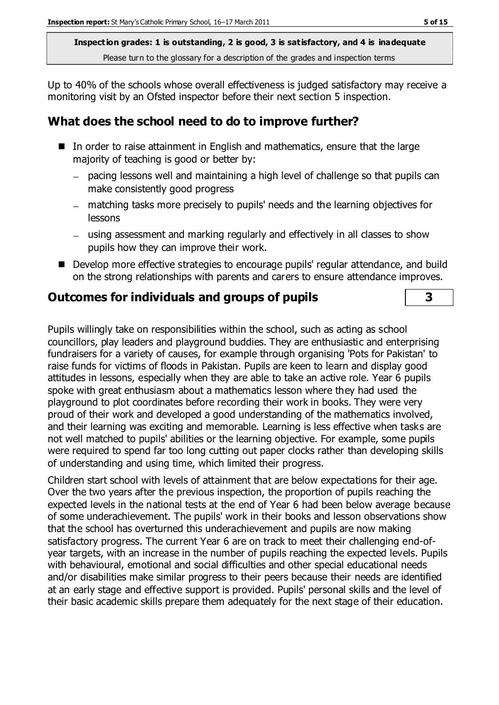**Inspection grades: 1 is outstanding, 2 is good, 3 is satisfactory, and 4 is inadequate** Please turn to the glossary for a description of the grades and inspection terms

Up to 40% of the schools whose overall effectiveness is judged satisfactory may receive a monitoring visit by an Ofsted inspector before their next section 5 inspection.

# **What does the school need to do to improve further?**

- In order to raise attainment in English and mathematics, ensure that the large majority of teaching is good or better by:
	- pacing lessons well and maintaining a high level of challenge so that pupils can make consistently good progress
	- matching tasks more precisely to pupils' needs and the learning objectives for lessons
	- using assessment and marking regularly and effectively in all classes to show pupils how they can improve their work.
- Develop more effective strategies to encourage pupils' regular attendance, and build on the strong relationships with parents and carers to ensure attendance improves.

# **Outcomes for individuals and groups of pupils 3**

Pupils willingly take on responsibilities within the school, such as acting as school councillors, play leaders and playground buddies. They are enthusiastic and enterprising fundraisers for a variety of causes, for example through organising 'Pots for Pakistan' to raise funds for victims of floods in Pakistan. Pupils are keen to learn and display good attitudes in lessons, especially when they are able to take an active role. Year 6 pupils spoke with great enthusiasm about a mathematics lesson where they had used the playground to plot coordinates before recording their work in books. They were very proud of their work and developed a good understanding of the mathematics involved, and their learning was exciting and memorable. Learning is less effective when tasks are not well matched to pupils' abilities or the learning objective. For example, some pupils were required to spend far too long cutting out paper clocks rather than developing skills of understanding and using time, which limited their progress.

Children start school with levels of attainment that are below expectations for their age. Over the two years after the previous inspection, the proportion of pupils reaching the expected levels in the national tests at the end of Year 6 had been below average because of some underachievement. The pupils' work in their books and lesson observations show that the school has overturned this underachievement and pupils are now making satisfactory progress. The current Year 6 are on track to meet their challenging end-ofyear targets, with an increase in the number of pupils reaching the expected levels. Pupils with behavioural, emotional and social difficulties and other special educational needs and/or disabilities make similar progress to their peers because their needs are identified at an early stage and effective support is provided. Pupils' personal skills and the level of their basic academic skills prepare them adequately for the next stage of their education.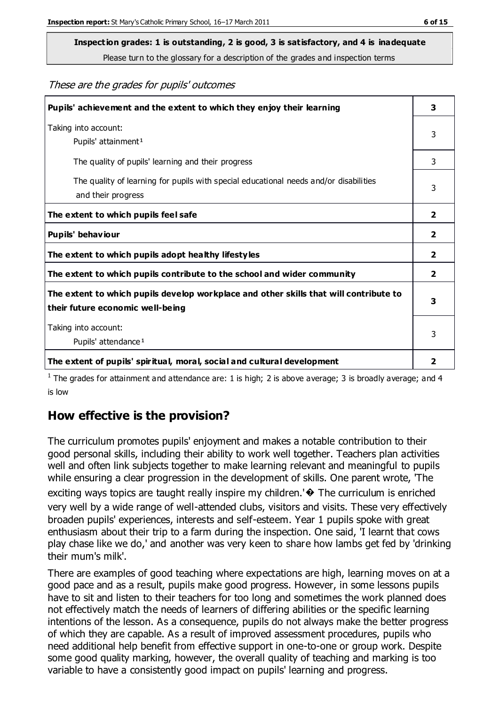# **Inspection grades: 1 is outstanding, 2 is good, 3 is satisfactory, and 4 is inadequate**

Please turn to the glossary for a description of the grades and inspection terms

These are the grades for pupils' outcomes

| Pupils' achievement and the extent to which they enjoy their learning                                                     | 3 |
|---------------------------------------------------------------------------------------------------------------------------|---|
| Taking into account:<br>Pupils' attainment <sup>1</sup>                                                                   | 3 |
| The quality of pupils' learning and their progress                                                                        | 3 |
| The quality of learning for pupils with special educational needs and/or disabilities<br>and their progress               |   |
| The extent to which pupils feel safe                                                                                      | 2 |
| Pupils' behaviour                                                                                                         | 2 |
| The extent to which pupils adopt healthy lifestyles                                                                       | 2 |
| The extent to which pupils contribute to the school and wider community                                                   | 2 |
| The extent to which pupils develop workplace and other skills that will contribute to<br>their future economic well-being |   |
| Taking into account:<br>Pupils' attendance <sup>1</sup>                                                                   |   |
| The extent of pupils' spiritual, moral, social and cultural development                                                   | 2 |

<sup>1</sup> The grades for attainment and attendance are: 1 is high; 2 is above average; 3 is broadly average; and 4 is low

# **How effective is the provision?**

The curriculum promotes pupils' enjoyment and makes a notable contribution to their good personal skills, including their ability to work well together. Teachers plan activities well and often link subjects together to make learning relevant and meaningful to pupils while ensuring a clear progression in the development of skills. One parent wrote, 'The exciting ways topics are taught really inspire my children.'� The curriculum is enriched very well by a wide range of well-attended clubs, visitors and visits. These very effectively broaden pupils' experiences, interests and self-esteem. Year 1 pupils spoke with great enthusiasm about their trip to a farm during the inspection. One said, 'I learnt that cows play chase like we do,' and another was very keen to share how lambs get fed by 'drinking their mum's milk'.

There are examples of good teaching where expectations are high, learning moves on at a good pace and as a result, pupils make good progress. However, in some lessons pupils have to sit and listen to their teachers for too long and sometimes the work planned does not effectively match the needs of learners of differing abilities or the specific learning intentions of the lesson. As a consequence, pupils do not always make the better progress of which they are capable. As a result of improved assessment procedures, pupils who need additional help benefit from effective support in one-to-one or group work. Despite some good quality marking, however, the overall quality of teaching and marking is too variable to have a consistently good impact on pupils' learning and progress.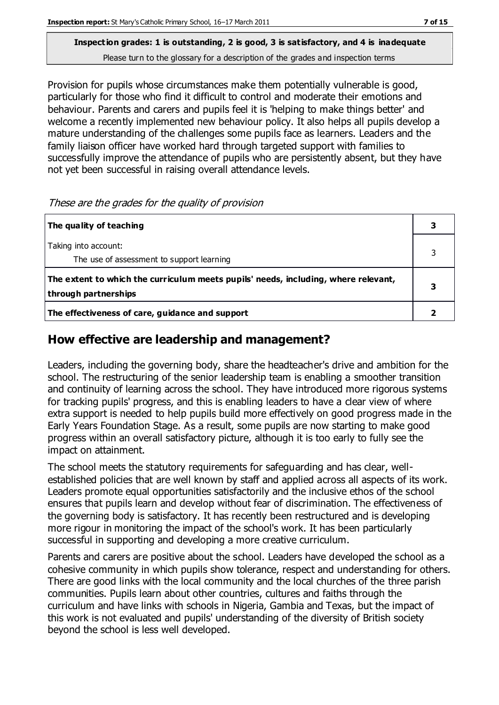#### **Inspection grades: 1 is outstanding, 2 is good, 3 is satisfactory, and 4 is inadequate** Please turn to the glossary for a description of the grades and inspection terms

Provision for pupils whose circumstances make them potentially vulnerable is good, particularly for those who find it difficult to control and moderate their emotions and behaviour. Parents and carers and pupils feel it is 'helping to make things better' and welcome a recently implemented new behaviour policy. It also helps all pupils develop a mature understanding of the challenges some pupils face as learners. Leaders and the family liaison officer have worked hard through targeted support with families to successfully improve the attendance of pupils who are persistently absent, but they have not yet been successful in raising overall attendance levels.

These are the grades for the quality of provision

| The quality of teaching                                                                                    | 3 |
|------------------------------------------------------------------------------------------------------------|---|
| Taking into account:<br>The use of assessment to support learning                                          |   |
| The extent to which the curriculum meets pupils' needs, including, where relevant,<br>through partnerships |   |
| The effectiveness of care, guidance and support                                                            |   |

# **How effective are leadership and management?**

Leaders, including the governing body, share the headteacher's drive and ambition for the school. The restructuring of the senior leadership team is enabling a smoother transition and continuity of learning across the school. They have introduced more rigorous systems for tracking pupils' progress, and this is enabling leaders to have a clear view of where extra support is needed to help pupils build more effectively on good progress made in the Early Years Foundation Stage. As a result, some pupils are now starting to make good progress within an overall satisfactory picture, although it is too early to fully see the impact on attainment.

The school meets the statutory requirements for safeguarding and has clear, wellestablished policies that are well known by staff and applied across all aspects of its work. Leaders promote equal opportunities satisfactorily and the inclusive ethos of the school ensures that pupils learn and develop without fear of discrimination. The effectiveness of the governing body is satisfactory. It has recently been restructured and is developing more rigour in monitoring the impact of the school's work. It has been particularly successful in supporting and developing a more creative curriculum.

Parents and carers are positive about the school. Leaders have developed the school as a cohesive community in which pupils show tolerance, respect and understanding for others. There are good links with the local community and the local churches of the three parish communities. Pupils learn about other countries, cultures and faiths through the curriculum and have links with schools in Nigeria, Gambia and Texas, but the impact of this work is not evaluated and pupils' understanding of the diversity of British society beyond the school is less well developed.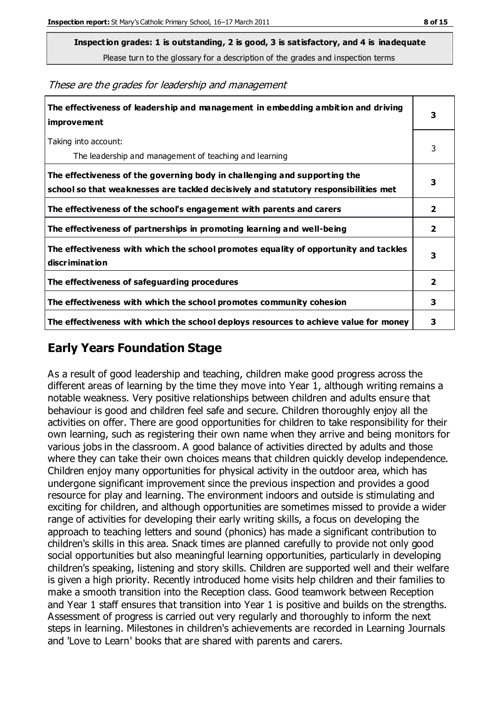**Inspection grades: 1 is outstanding, 2 is good, 3 is satisfactory, and 4 is inadequate**

Please turn to the glossary for a description of the grades and inspection terms

| The effectiveness of leadership and management in embedding ambition and driving<br><i>improvement</i>                                                           |                         |
|------------------------------------------------------------------------------------------------------------------------------------------------------------------|-------------------------|
| Taking into account:<br>The leadership and management of teaching and learning                                                                                   | 3                       |
| The effectiveness of the governing body in challenging and supporting the<br>school so that weaknesses are tackled decisively and statutory responsibilities met | 3                       |
| The effectiveness of the school's engagement with parents and carers                                                                                             | $\overline{2}$          |
| The effectiveness of partnerships in promoting learning and well-being                                                                                           | $\overline{\mathbf{2}}$ |
| The effectiveness with which the school promotes equality of opportunity and tackles<br>discrimination                                                           | 3                       |
| The effectiveness of safeguarding procedures                                                                                                                     | $\overline{\mathbf{2}}$ |
| The effectiveness with which the school promotes community cohesion                                                                                              | 3                       |
| The effectiveness with which the school deploys resources to achieve value for money                                                                             | 3                       |

These are the grades for leadership and management

# **Early Years Foundation Stage**

As a result of good leadership and teaching, children make good progress across the different areas of learning by the time they move into Year 1, although writing remains a notable weakness. Very positive relationships between children and adults ensure that behaviour is good and children feel safe and secure. Children thoroughly enjoy all the activities on offer. There are good opportunities for children to take responsibility for their own learning, such as registering their own name when they arrive and being monitors for various jobs in the classroom. A good balance of activities directed by adults and those where they can take their own choices means that children quickly develop independence. Children enjoy many opportunities for physical activity in the outdoor area, which has undergone significant improvement since the previous inspection and provides a good resource for play and learning. The environment indoors and outside is stimulating and exciting for children, and although opportunities are sometimes missed to provide a wider range of activities for developing their early writing skills, a focus on developing the approach to teaching letters and sound (phonics) has made a significant contribution to children's skills in this area. Snack times are planned carefully to provide not only good social opportunities but also meaningful learning opportunities, particularly in developing children's speaking, listening and story skills. Children are supported well and their welfare is given a high priority. Recently introduced home visits help children and their families to make a smooth transition into the Reception class. Good teamwork between Reception and Year 1 staff ensures that transition into Year 1 is positive and builds on the strengths. Assessment of progress is carried out very regularly and thoroughly to inform the next steps in learning. Milestones in children's achievements are recorded in Learning Journals and 'Love to Learn' books that are shared with parents and carers.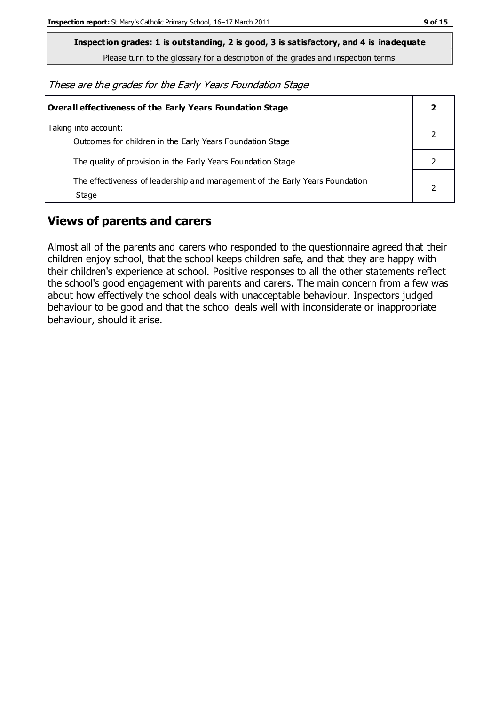**Inspection grades: 1 is outstanding, 2 is good, 3 is satisfactory, and 4 is inadequate**

Please turn to the glossary for a description of the grades and inspection terms

These are the grades for the Early Years Foundation Stage

| Overall effectiveness of the Early Years Foundation Stage                             |  |
|---------------------------------------------------------------------------------------|--|
| Taking into account:<br>Outcomes for children in the Early Years Foundation Stage     |  |
| The quality of provision in the Early Years Foundation Stage                          |  |
| The effectiveness of leadership and management of the Early Years Foundation<br>Stage |  |

# **Views of parents and carers**

Almost all of the parents and carers who responded to the questionnaire agreed that their children enjoy school, that the school keeps children safe, and that they are happy with their children's experience at school. Positive responses to all the other statements reflect the school's good engagement with parents and carers. The main concern from a few was about how effectively the school deals with unacceptable behaviour. Inspectors judged behaviour to be good and that the school deals well with inconsiderate or inappropriate behaviour, should it arise.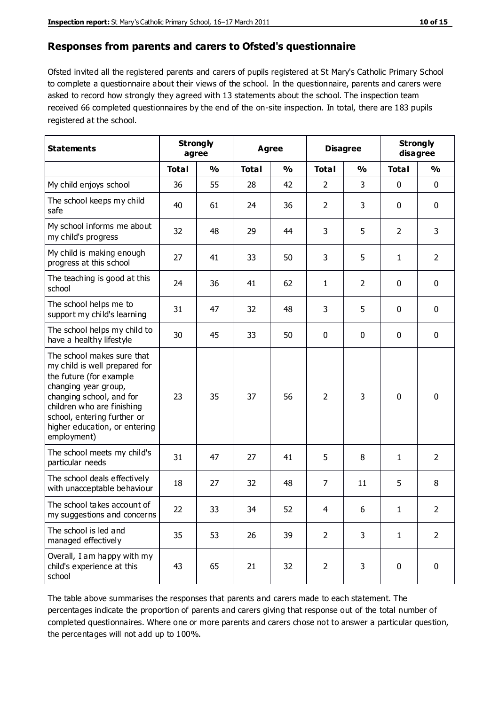#### **Responses from parents and carers to Ofsted's questionnaire**

Ofsted invited all the registered parents and carers of pupils registered at St Mary's Catholic Primary School to complete a questionnaire about their views of the school. In the questionnaire, parents and carers were asked to record how strongly they agreed with 13 statements about the school. The inspection team received 66 completed questionnaires by the end of the on-site inspection. In total, there are 183 pupils registered at the school.

| <b>Statements</b>                                                                                                                                                                                                                                       | agree        | <b>Strongly</b> | <b>Agree</b> |               | <b>Disagree</b> |                | <b>Strongly</b><br>disagree |                |
|---------------------------------------------------------------------------------------------------------------------------------------------------------------------------------------------------------------------------------------------------------|--------------|-----------------|--------------|---------------|-----------------|----------------|-----------------------------|----------------|
|                                                                                                                                                                                                                                                         | <b>Total</b> | $\frac{0}{0}$   | <b>Total</b> | $\frac{0}{0}$ | <b>Total</b>    | $\frac{0}{0}$  | <b>Total</b>                | $\frac{1}{2}$  |
| My child enjoys school                                                                                                                                                                                                                                  | 36           | 55              | 28           | 42            | $\overline{2}$  | 3              | $\mathbf 0$                 | $\mathbf 0$    |
| The school keeps my child<br>safe                                                                                                                                                                                                                       | 40           | 61              | 24           | 36            | $\overline{2}$  | 3              | $\mathbf 0$                 | $\mathbf 0$    |
| My school informs me about<br>my child's progress                                                                                                                                                                                                       | 32           | 48              | 29           | 44            | 3               | 5              | $\overline{2}$              | 3              |
| My child is making enough<br>progress at this school                                                                                                                                                                                                    | 27           | 41              | 33           | 50            | 3               | 5              | 1                           | $\overline{2}$ |
| The teaching is good at this<br>school                                                                                                                                                                                                                  | 24           | 36              | 41           | 62            | 1               | $\overline{2}$ | 0                           | $\mathbf 0$    |
| The school helps me to<br>support my child's learning                                                                                                                                                                                                   | 31           | 47              | 32           | 48            | 3               | 5              | $\mathbf 0$                 | $\mathbf 0$    |
| The school helps my child to<br>have a healthy lifestyle                                                                                                                                                                                                | 30           | 45              | 33           | 50            | 0               | $\mathbf 0$    | $\mathbf 0$                 | $\mathbf 0$    |
| The school makes sure that<br>my child is well prepared for<br>the future (for example<br>changing year group,<br>changing school, and for<br>children who are finishing<br>school, entering further or<br>higher education, or entering<br>employment) | 23           | 35              | 37           | 56            | $\overline{2}$  | 3              | $\mathbf 0$                 | $\mathbf 0$    |
| The school meets my child's<br>particular needs                                                                                                                                                                                                         | 31           | 47              | 27           | 41            | 5               | 8              | 1                           | $\overline{2}$ |
| The school deals effectively<br>with unacceptable behaviour                                                                                                                                                                                             | 18           | 27              | 32           | 48            | 7               | 11             | 5                           | 8              |
| The school takes account of<br>my suggestions and concerns                                                                                                                                                                                              | 22           | 33              | 34           | 52            | 4               | 6              | 1                           | 2              |
| The school is led and<br>managed effectively                                                                                                                                                                                                            | 35           | 53              | 26           | 39            | $\overline{2}$  | 3              | $\mathbf{1}$                | $\overline{2}$ |
| Overall, I am happy with my<br>child's experience at this<br>school                                                                                                                                                                                     | 43           | 65              | 21           | 32            | $\overline{2}$  | 3              | $\mathbf 0$                 | $\mathbf 0$    |

The table above summarises the responses that parents and carers made to each statement. The percentages indicate the proportion of parents and carers giving that response out of the total number of completed questionnaires. Where one or more parents and carers chose not to answer a particular question, the percentages will not add up to 100%.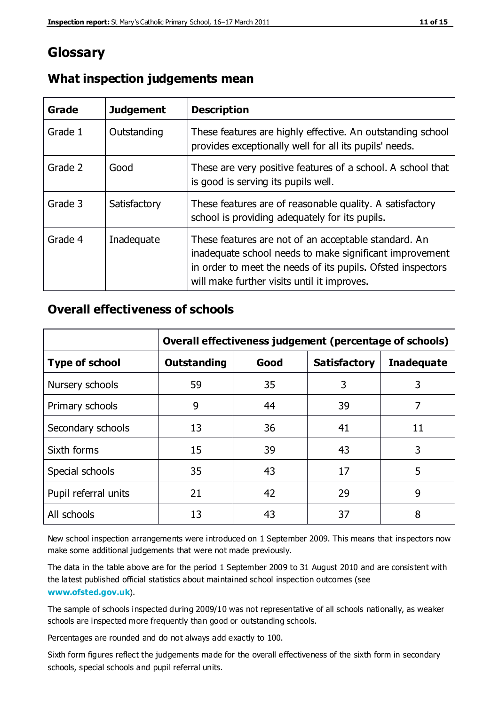# **Glossary**

| Grade   | <b>Judgement</b> | <b>Description</b>                                                                                                                                                                                                            |
|---------|------------------|-------------------------------------------------------------------------------------------------------------------------------------------------------------------------------------------------------------------------------|
| Grade 1 | Outstanding      | These features are highly effective. An outstanding school<br>provides exceptionally well for all its pupils' needs.                                                                                                          |
| Grade 2 | Good             | These are very positive features of a school. A school that<br>is good is serving its pupils well.                                                                                                                            |
| Grade 3 | Satisfactory     | These features are of reasonable quality. A satisfactory<br>school is providing adequately for its pupils.                                                                                                                    |
| Grade 4 | Inadequate       | These features are not of an acceptable standard. An<br>inadequate school needs to make significant improvement<br>in order to meet the needs of its pupils. Ofsted inspectors<br>will make further visits until it improves. |

### **What inspection judgements mean**

# **Overall effectiveness of schools**

|                       | Overall effectiveness judgement (percentage of schools) |      |                     |                   |
|-----------------------|---------------------------------------------------------|------|---------------------|-------------------|
| <b>Type of school</b> | <b>Outstanding</b>                                      | Good | <b>Satisfactory</b> | <b>Inadequate</b> |
| Nursery schools       | 59                                                      | 35   | 3                   | 3                 |
| Primary schools       | 9                                                       | 44   | 39                  | 7                 |
| Secondary schools     | 13                                                      | 36   | 41                  | 11                |
| Sixth forms           | 15                                                      | 39   | 43                  | 3                 |
| Special schools       | 35                                                      | 43   | 17                  | 5                 |
| Pupil referral units  | 21                                                      | 42   | 29                  | 9                 |
| All schools           | 13                                                      | 43   | 37                  | 8                 |

New school inspection arrangements were introduced on 1 September 2009. This means that inspectors now make some additional judgements that were not made previously.

The data in the table above are for the period 1 September 2009 to 31 August 2010 and are consistent with the latest published official statistics about maintained school inspec tion outcomes (see **[www.ofsted.gov.uk](http://www.ofsted.gov.uk/)**).

The sample of schools inspected during 2009/10 was not representative of all schools nationally, as weaker schools are inspected more frequently than good or outstanding schools.

Percentages are rounded and do not always add exactly to 100.

Sixth form figures reflect the judgements made for the overall effectiveness of the sixth form in secondary schools, special schools and pupil referral units.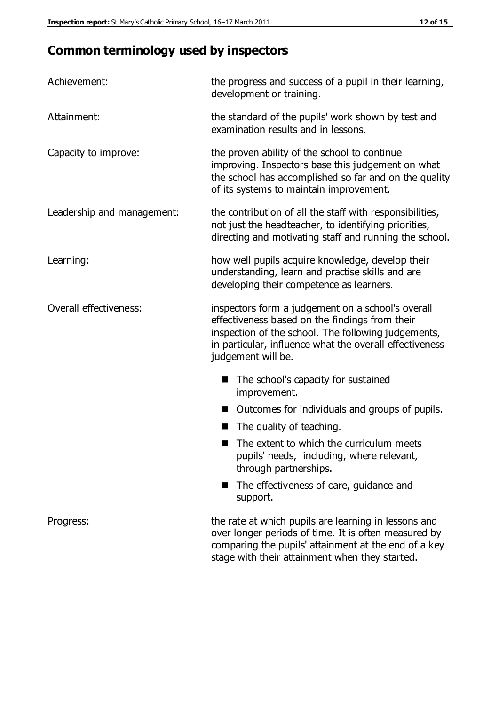# **Common terminology used by inspectors**

| Achievement:               | the progress and success of a pupil in their learning,<br>development or training.                                                                                                                                                          |  |  |
|----------------------------|---------------------------------------------------------------------------------------------------------------------------------------------------------------------------------------------------------------------------------------------|--|--|
| Attainment:                | the standard of the pupils' work shown by test and<br>examination results and in lessons.                                                                                                                                                   |  |  |
| Capacity to improve:       | the proven ability of the school to continue<br>improving. Inspectors base this judgement on what<br>the school has accomplished so far and on the quality<br>of its systems to maintain improvement.                                       |  |  |
| Leadership and management: | the contribution of all the staff with responsibilities,<br>not just the headteacher, to identifying priorities,<br>directing and motivating staff and running the school.                                                                  |  |  |
| Learning:                  | how well pupils acquire knowledge, develop their<br>understanding, learn and practise skills and are<br>developing their competence as learners.                                                                                            |  |  |
| Overall effectiveness:     | inspectors form a judgement on a school's overall<br>effectiveness based on the findings from their<br>inspection of the school. The following judgements,<br>in particular, influence what the overall effectiveness<br>judgement will be. |  |  |
|                            | The school's capacity for sustained<br>improvement.                                                                                                                                                                                         |  |  |
|                            | Outcomes for individuals and groups of pupils.                                                                                                                                                                                              |  |  |
|                            | The quality of teaching.                                                                                                                                                                                                                    |  |  |
|                            | The extent to which the curriculum meets<br>pupils' needs, including, where relevant,<br>through partnerships.                                                                                                                              |  |  |
|                            | The effectiveness of care, guidance and<br>support.                                                                                                                                                                                         |  |  |
| Progress:                  | the rate at which pupils are learning in lessons and<br>over longer periods of time. It is often measured by<br>comparing the pupils' attainment at the end of a key                                                                        |  |  |

stage with their attainment when they started.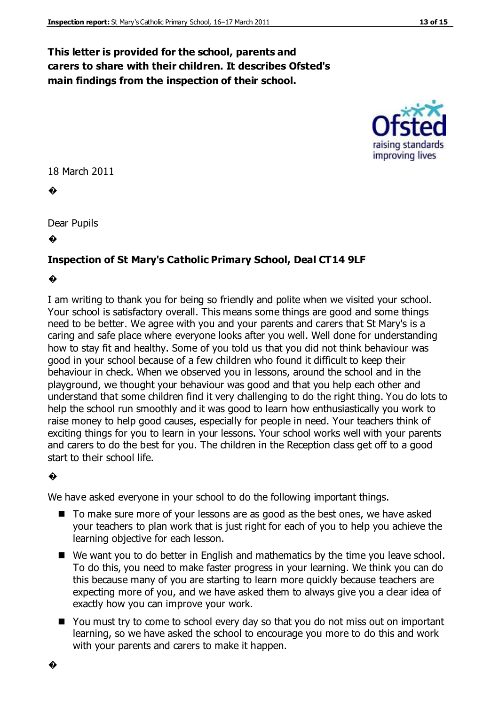#### **This letter is provided for the school, parents and carers to share with their children. It describes Ofsted's main findings from the inspection of their school.**



18 March 2011

�

Dear Pupils

�

#### **Inspection of St Mary's Catholic Primary School, Deal CT14 9LF**

�

I am writing to thank you for being so friendly and polite when we visited your school. Your school is satisfactory overall. This means some things are good and some things need to be better. We agree with you and your parents and carers that St Mary's is a caring and safe place where everyone looks after you well. Well done for understanding how to stay fit and healthy. Some of you told us that you did not think behaviour was good in your school because of a few children who found it difficult to keep their behaviour in check. When we observed you in lessons, around the school and in the playground, we thought your behaviour was good and that you help each other and understand that some children find it very challenging to do the right thing. You do lots to help the school run smoothly and it was good to learn how enthusiastically you work to raise money to help good causes, especially for people in need. Your teachers think of exciting things for you to learn in your lessons. Your school works well with your parents and carers to do the best for you. The children in the Reception class get off to a good start to their school life.

#### �

We have asked everyone in your school to do the following important things.

- To make sure more of your lessons are as good as the best ones, we have asked your teachers to plan work that is just right for each of you to help you achieve the learning objective for each lesson.
- We want you to do better in English and mathematics by the time you leave school. To do this, you need to make faster progress in your learning. We think you can do this because many of you are starting to learn more quickly because teachers are expecting more of you, and we have asked them to always give you a clear idea of exactly how you can improve your work.
- You must try to come to school every day so that you do not miss out on important learning, so we have asked the school to encourage you more to do this and work with your parents and carers to make it happen.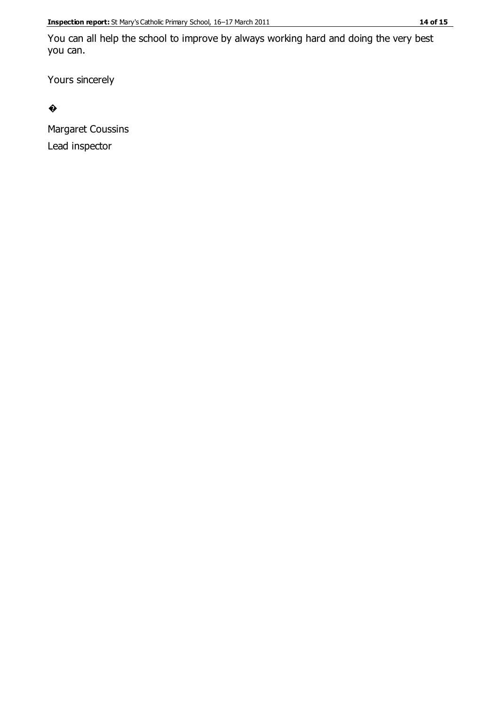You can all help the school to improve by always working hard and doing the very best you can.

Yours sincerely

�

Margaret Coussins Lead inspector